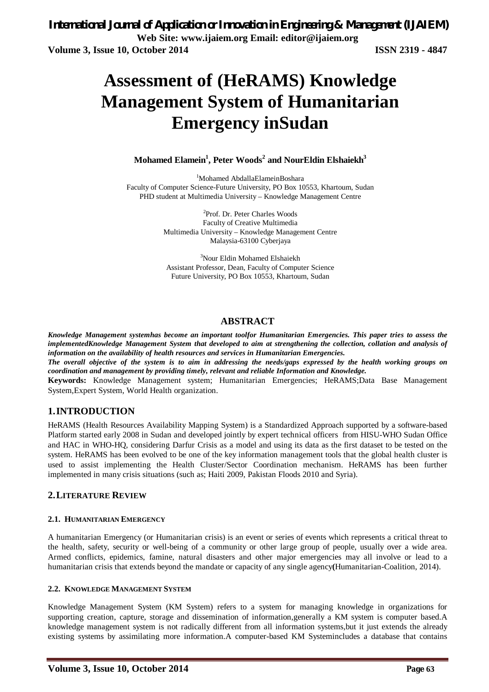# **Assessment of (HeRAMS) Knowledge Management System of Humanitarian Emergency inSudan**

### **Mohamed Elamein<sup>1</sup> , Peter Woods<sup>2</sup> and NourEldin Elshaiekh<sup>3</sup>**

<sup>1</sup>Mohamed AbdallaElameinBoshara Faculty of Computer Science-Future University, PO Box 10553, Khartoum, Sudan PHD student at Multimedia University – Knowledge Management Centre

> 2 Prof. Dr. Peter Charles Woods Faculty of Creative Multimedia Multimedia University – Knowledge Management Centre Malaysia-63100 Cyberjaya

<sup>3</sup>Nour Eldin Mohamed Elshaiekh Assistant Professor, Dean, Faculty of Computer Science Future University, PO Box 10553, Khartoum, Sudan

### **ABSTRACT**

*Knowledge Management systemhas become an important toolfor Humanitarian Emergencies. This paper tries to assess the implementedKnowledge Management System that developed to aim at strengthening the collection, collation and analysis of information on the availability of health resources and services in Humanitarian Emergencies.*

*The overall objective of the system is to aim in addressing the needs/gaps expressed by the health working groups on coordination and management by providing timely, relevant and reliable Information and Knowledge.*

**Keywords:** Knowledge Management system; Humanitarian Emergencies; HeRAMS;Data Base Management System,Expert System, World Health organization.

### **1.INTRODUCTION**

HeRAMS (Health Resources Availability Mapping System) is a Standardized Approach supported by a software-based Platform started early 2008 in Sudan and developed jointly by expert technical officers from HISU-WHO Sudan Office and HAC in WHO-HQ, considering Darfur Crisis as a model and using its data as the first dataset to be tested on the system. HeRAMS has been evolved to be one of the key information management tools that the global health cluster is used to assist implementing the Health Cluster/Sector Coordination mechanism. HeRAMS has been further implemented in many crisis situations (such as; Haiti 2009, Pakistan Floods 2010 and Syria).

### **2.LITERATURE REVIEW**

### **2.1. HUMANITARIAN EMERGENCY**

A humanitarian Emergency (or Humanitarian crisis) is an event or series of events which represents a critical threat to the health, safety, security or well-being of a community or other large group of people, usually over a wide area. Armed conflicts, epidemics, famine, natural disasters and other major emergencies may all involve or lead to a humanitarian crisis that extends beyond the mandate or capacity of any single agency**(**Humanitarian-Coalition, 2014).

### **2.2. KNOWLEDGE MANAGEMENT SYSTEM**

Knowledge Management System (KM System) refers to a system for managing knowledge in organizations for supporting creation, capture, storage and dissemination of information,generally a KM system is computer based.A knowledge management system is not radically different from all information systems,but it just extends the already existing systems by assimilating more information.A computer-based KM Systemincludes a database that contains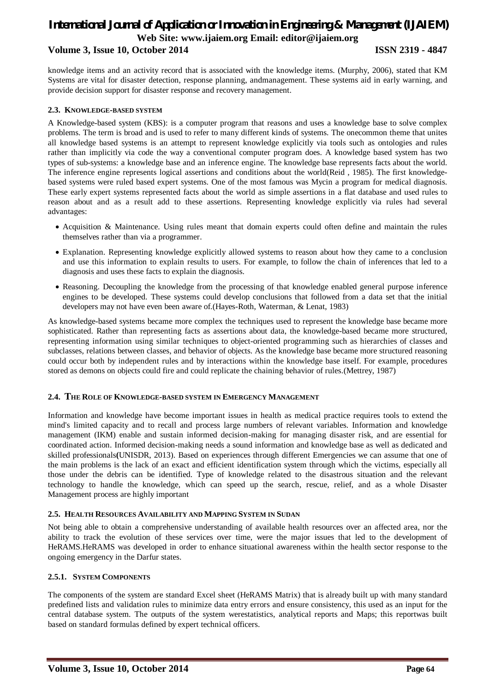### *International Journal of Application or Innovation in Engineering & Management (IJAIEM)* **Web Site: www.ijaiem.org Email: editor@ijaiem.org Volume 3, Issue 10, October 2014 ISSN 2319 - 4847**

knowledge items and an activity record that is associated with the knowledge items. (Murphy, 2006), stated that KM Systems are vital for disaster detection, response planning, andmanagement. These systems aid in early warning, and provide decision support for disaster response and recovery management.

### **2.3. KNOWLEDGE-BASED SYSTEM**

A Knowledge-based system (KBS): is a computer program that reasons and uses a knowledge base to solve complex problems. The term is broad and is used to refer to many different kinds of systems. The onecommon theme that unites all knowledge based systems is an attempt to represent knowledge explicitly via tools such as ontologies and rules rather than implicitly via code the way a conventional computer program does. A knowledge based system has two types of sub-systems: a knowledge base and an inference engine. The knowledge base represents facts about the world. The inference engine represents logical assertions and conditions about the world(Reid , 1985). The first knowledgebased systems were ruled based expert systems. One of the most famous was Mycin a program for medical diagnosis. These early expert systems represented facts about the world as simple assertions in a flat database and used rules to reason about and as a result add to these assertions. Representing knowledge explicitly via rules had several advantages:

- Acquisition & Maintenance. Using rules meant that domain experts could often define and maintain the rules themselves rather than via a programmer.
- Explanation. Representing knowledge explicitly allowed systems to reason about how they came to a conclusion and use this information to explain results to users. For example, to follow the chain of inferences that led to a diagnosis and uses these facts to explain the diagnosis.
- Reasoning. Decoupling the knowledge from the processing of that knowledge enabled general purpose inference engines to be developed. These systems could develop conclusions that followed from a data set that the initial developers may not have even been aware of.(Hayes-Roth, Waterman, & Lenat, 1983)

As knowledge-based systems became more complex the techniques used to represent the knowledge base became more sophisticated. Rather than representing facts as assertions about data, the knowledge-based became more structured, representing information using similar techniques to object-oriented programming such as hierarchies of classes and subclasses, relations between classes, and behavior of objects. As the knowledge base became more structured reasoning could occur both by independent rules and by interactions within the knowledge base itself. For example, procedures stored as demons on objects could fire and could replicate the chaining behavior of rules.(Mettrey, 1987)

### **2.4. THE ROLE OF KNOWLEDGE-BASED SYSTEM IN EMERGENCY MANAGEMENT**

Information and knowledge have become important issues in health as medical practice requires tools to extend the mind's limited capacity and to recall and process large numbers of relevant variables. Information and knowledge management (IKM) enable and sustain informed decision-making for managing disaster risk, and are essential for coordinated action. Informed decision-making needs a sound information and knowledge base as well as dedicated and skilled professionals**(**UNISDR, 2013). Based on experiences through different Emergencies we can assume that one of the main problems is the lack of an exact and efficient identification system through which the victims, especially all those under the debris can be identified. Type of knowledge related to the disastrous situation and the relevant technology to handle the knowledge, which can speed up the search, rescue, relief, and as a whole Disaster Management process are highly important

### **2.5. HEALTH RESOURCES AVAILABILITY AND MAPPING SYSTEM IN SUDAN**

Not being able to obtain a comprehensive understanding of available health resources over an affected area, nor the ability to track the evolution of these services over time, were the major issues that led to the development of HeRAMS.HeRAMS was developed in order to enhance situational awareness within the health sector response to the ongoing emergency in the Darfur states.

### **2.5.1. SYSTEM COMPONENTS**

The components of the system are standard Excel sheet (HeRAMS Matrix) that is already built up with many standard predefined lists and validation rules to minimize data entry errors and ensure consistency, this used as an input for the central database system. The outputs of the system werestatistics, analytical reports and Maps; this reportwas built based on standard formulas defined by expert technical officers.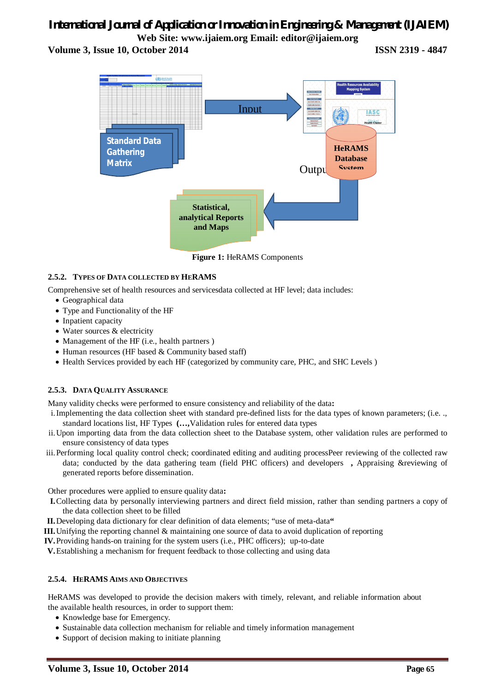## *International Journal of Application or Innovation in Engineering & Management (IJAIEM)* **Web Site: www.ijaiem.org Email: editor@ijaiem.org**

**Volume 3, Issue 10, October 2014 ISSN 2319 - 4847**



**Figure 1:** HeRAMS Components

### **2.5.2. TYPES OF DATA COLLECTED BY HERAMS**

Comprehensive set of health resources and servicesdata collected at HF level; data includes:

- Geographical data
- Type and Functionality of the HF
- Inpatient capacity
- Water sources & electricity
- Management of the HF (i.e., health partners)
- Human resources (HF based & Community based staff)
- Health Services provided by each HF (categorized by community care, PHC, and SHC Levels )

### **2.5.3. DATA QUALITY ASSURANCE**

Many validity checks were performed to ensure consistency and reliability of the data**:**

i.Implementing the data collection sheet with standard pre-defined lists for the data types of known parameters; (i.e. ., standard locations list, HF Types **(…,**Validation rules for entered data types

- ii.Upon importing data from the data collection sheet to the Database system, other validation rules are performed to ensure consistency of data types
- iii.Performing local quality control check; coordinated editing and auditing processPeer reviewing of the collected raw data; conducted by the data gathering team (field PHC officers) and developers **,** Appraising &reviewing of generated reports before dissemination.

Other procedures were applied to ensure quality data**:**

**I.**Collecting data by personally interviewing partners and direct field mission, rather than sending partners a copy of the data collection sheet to be filled

**II.**Developing data dictionary for clear definition of data elements; "use of meta-data**"**

**III.**Unifying the reporting channel & maintaining one source of data to avoid duplication of reporting

**IV.**Providing hands-on training for the system users (i.e., PHC officers); up-to-date

**V.**Establishing a mechanism for frequent feedback to those collecting and using data

### **2.5.4. HERAMS AIMS AND OBJECTIVES**

HeRAMS was developed to provide the decision makers with timely, relevant, and reliable information about the available health resources, in order to support them:

- Knowledge base for Emergency.
- Sustainable data collection mechanism for reliable and timely information management
- Support of decision making to initiate planning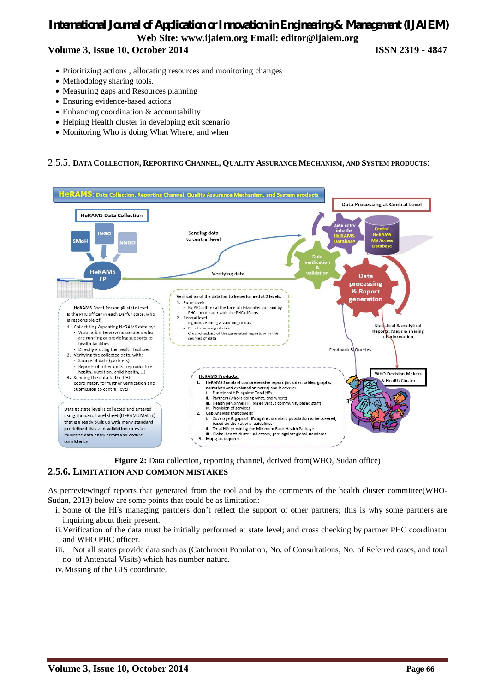## *International Journal of Application or Innovation in Engineering & Management (IJAIEM)* **Web Site: www.ijaiem.org Email: editor@ijaiem.org**

### **Volume 3, Issue 10, October 2014 ISSN 2319 - 4847**

- Prioritizing actions , allocating resources and monitoring changes
- Methodology sharing tools.
- Measuring gaps and Resources planning
- Ensuring evidence-based actions
- Enhancing coordination & accountability
- Helping Health cluster in developing exit scenario
- Monitoring Who is doing What Where, and when

### 2.5.5. DATA COLLECTION, REPORTING CHANNEL, QUALITY ASSURANCE MECHANISM, AND SYSTEM PRODUCTS:



**Figure 2:** Data collection, reporting channel, derived from (WHO, Sudan office) **2.5.6. LIMITATION AND COMMON MISTAKES**

As perreviewingof reports that generated from the tool and by the comments of the health cluster committee(WHO-Sudan, 2013) below are some points that could be as limitation:

- i. Some of the HFs managing partners don't reflect the support of other partners; this is why some partners are inquiring about their present.
- ii.Verification of the data must be initially performed at state level; and cross checking by partner PHC coordinator and WHO PHC officer.
- iii. Not all states provide data such as (Catchment Population, No. of Consultations, No. of Referred cases, and total no. of Antenatal Visits) which has number nature.
- iv.Missing of the GIS coordinate.